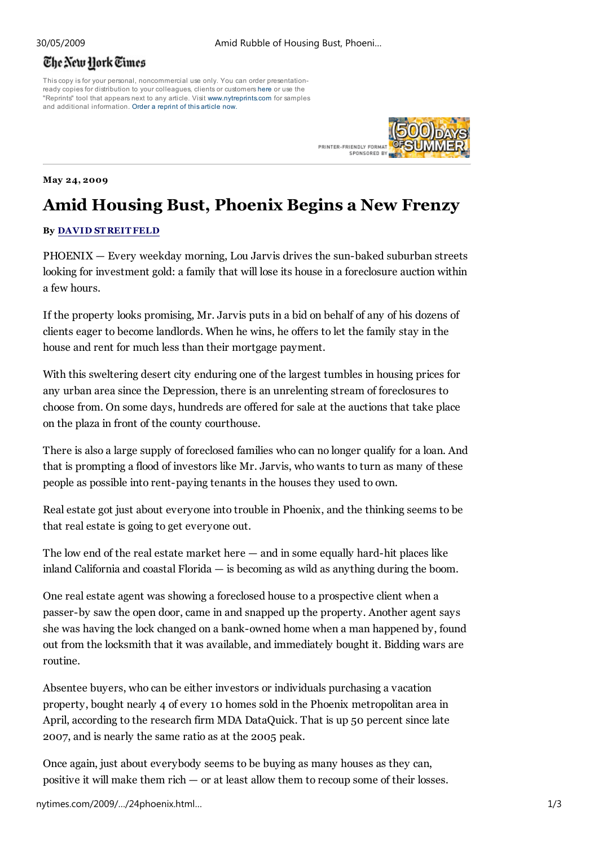## The New Hork Times

This copy is for your personal, noncommercial use only. You can order presentationready copies for distribution to your colleagues, clients or customers here or use the "Reprints" tool that appears next to any article. Visit www.nytreprints.com for samples and additional information. Order a reprint of this article now.



# May 24, 2009 Amid Housing Bust, Phoenix Begins a New Frenzy

### By DAVID ST REIT FELD

PHOENIX — Every weekday morning, Lou Jarvis drives the sun-baked suburban streets looking for investment gold: a family that will lose its house in a foreclosure auction within a few hours.

If the property looks promising, Mr. Jarvis puts in a bid on behalf of any of his dozens of clients eager to become landlords. When he wins, he offers to let the family stay in the house and rent for much less than their mortgage payment.

With this sweltering desert city enduring one of the largest tumbles in housing prices for any urban area since the Depression, there is an unrelenting stream of foreclosures to choose from. On some days, hundreds are offered for sale at the auctions that take place on the plaza in front of the county courthouse.

There is also a large supply of foreclosed families who can no longer qualify for a loan. And that is prompting a flood of investors like Mr. Jarvis, who wants to turn as many of these people as possible into rent-paying tenants in the houses they used to own.

Real estate got just about everyone into trouble in Phoenix, and the thinking seems to be that real estate is going to get everyone out.

The low end of the real estate market here — and in some equally hard-hit places like inland California and coastal Florida — is becoming as wild as anything during the boom.

One real estate agent was showing a foreclosed house to a prospective client when a passer-by saw the open door, came in and snapped up the property. Another agent says she was having the lock changed on a bank-owned home when a man happened by, found out from the locksmith that it was available, and immediately bought it. Bidding wars are routine.

Absentee buyers, who can be either investors or individuals purchasing a vacation property, bought nearly 4 of every 10 homes sold in the Phoenix metropolitan area in April, according to the research firm MDA DataQuick. That is up 50 percent since late 2007, and is nearly the same ratio as at the 2005 peak.

Once again, just about everybody seems to be buying as many houses as they can, positive it will make them rich — or at least allow them to recoup some of their losses.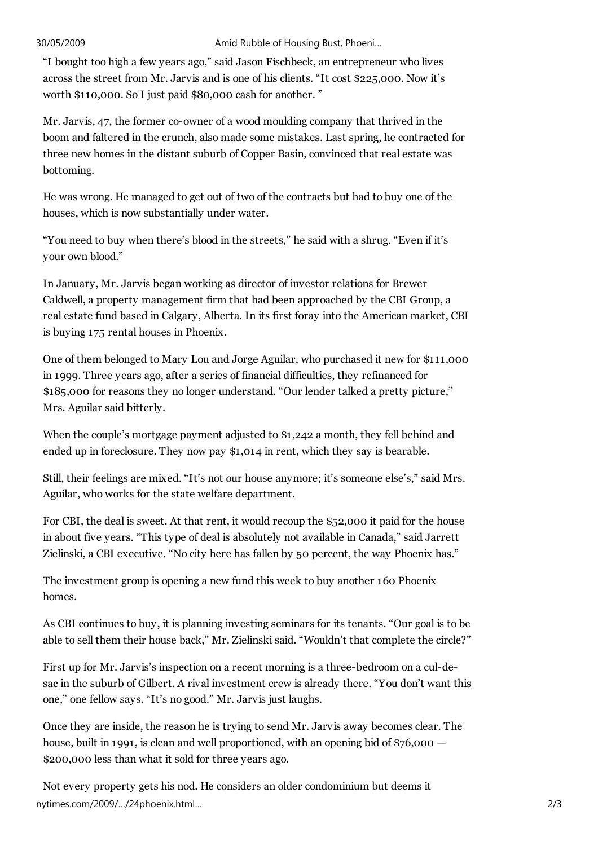30/05/2009 Amid Rubble of Housing Bust, Phoeni…

"I bought too high a few years ago," said Jason Fischbeck, an entrepreneur who lives across the street from Mr. Jarvis and is one of his clients. "It cost \$225,000. Now it's worth \$110,000. So I just paid \$80,000 cash for another. "

Mr. Jarvis, 47, the former co-owner of a wood moulding company that thrived in the boom and faltered in the crunch, also made some mistakes. Last spring, he contracted for three new homes in the distant suburb of Copper Basin, convinced that real estate was bottoming.

He was wrong. He managed to get out of two of the contracts but had to buy one of the houses, which is now substantially under water.

"You need to buy when there's blood in the streets," he said with a shrug. "Even if it's your own blood."

In January, Mr. Jarvis began working as director of investor relations for Brewer Caldwell, a property management firm that had been approached by the CBI Group, a real estate fund based in Calgary, Alberta. In its first foray into the American market, CBI is buying 175 rental houses in Phoenix.

One of them belonged to Mary Lou and Jorge Aguilar, who purchased it new for \$111,000 in 1999. Three years ago, after a series of financial difficulties, they refinanced for \$185,000 for reasons they no longer understand. "Our lender talked a pretty picture," Mrs. Aguilar said bitterly.

When the couple's mortgage payment adjusted to \$1,242 a month, they fell behind and ended up in foreclosure. They now pay \$1,014 in rent, which they say is bearable.

Still, their feelings are mixed. "It's not our house anymore; it's someone else's," said Mrs. Aguilar, who works for the state welfare department.

For CBI, the deal is sweet. At that rent, it would recoup the \$52,000 it paid for the house in about five years. "This type of deal is absolutely not available in Canada," said Jarrett Zielinski, a CBI executive. "No city here has fallen by 50 percent, the way Phoenix has."

The investment group is opening a new fund this week to buy another 160 Phoenix homes.

As CBI continues to buy, it is planning investing seminars for its tenants. "Our goal is to be able to sell them their house back," Mr. Zielinski said. "Wouldn't that complete the circle?"

First up for Mr. Jarvis's inspection on a recent morning is a three-bedroom on a cul-desac in the suburb of Gilbert. A rival investment crew is already there. "You don't want this one," one fellow says. "It's no good." Mr. Jarvis just laughs.

Once they are inside, the reason he is trying to send Mr. Jarvis away becomes clear. The house, built in 1991, is clean and well proportioned, with an opening bid of  $$76,000$  – \$200,000 less than what it sold for three years ago.

Not every property gets his nod. He considers an older condominium but deems it nytimes.com/2009/…/24phoenix.html… 2/3